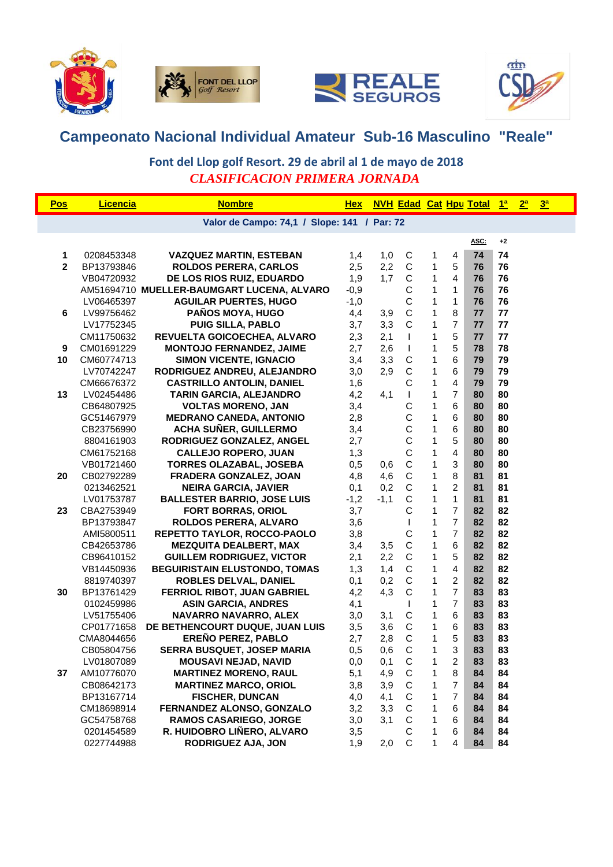







## **Campeonato Nacional Individual Amateur Sub-16 Masculino "Reale"**

## *CLASIFICACION PRIMERA JORNADA* **Font del Llop golf Resort. 29 de abril al 1 de mayo de 2018**

| <b>Pos</b>                                  | <b>Licencia</b> | <b>Nombre</b>                              | <b>Hex</b> |        | <b>NVH Edad Cat Hpu Total</b> |              |                |      | <u> 1ª 2ª</u> |  | $\frac{3^a}{2}$ |  |
|---------------------------------------------|-----------------|--------------------------------------------|------------|--------|-------------------------------|--------------|----------------|------|---------------|--|-----------------|--|
| Valor de Campo: 74,1 / Slope: 141 / Par: 72 |                 |                                            |            |        |                               |              |                |      |               |  |                 |  |
|                                             |                 |                                            |            |        |                               |              |                | ASC: | $+2$          |  |                 |  |
| 1                                           | 0208453348      | <b>VAZQUEZ MARTIN, ESTEBAN</b>             | 1,4        | 1,0    | $\mathsf C$                   | 1            | 4              | 74   | 74            |  |                 |  |
| $\mathbf{2}$                                | BP13793846      | <b>ROLDOS PERERA, CARLOS</b>               | 2,5        | 2,2    | $\mathbf C$                   | 1            | $\sqrt{5}$     | 76   | 76            |  |                 |  |
|                                             | VB04720932      | DE LOS RIOS RUIZ, EDUARDO                  | 1,9        | 1,7    | $\mathsf C$                   | $\mathbf{1}$ | $\overline{4}$ | 76   | 76            |  |                 |  |
|                                             |                 | AM51694710 MUELLER-BAUMGART LUCENA, ALVARO | $-0,9$     |        | $\mathsf C$                   | $\mathbf{1}$ | $\mathbf{1}$   | 76   | 76            |  |                 |  |
|                                             | LV06465397      | <b>AGUILAR PUERTES, HUGO</b>               | $-1,0$     |        | $\mathsf C$                   | $\mathbf{1}$ | $\mathbf{1}$   | 76   | 76            |  |                 |  |
| 6                                           | LV99756462      | PAÑOS MOYA, HUGO                           | 4,4        | 3,9    | $\mathsf C$                   | 1            | $\bf 8$        | 77   | 77            |  |                 |  |
|                                             | LV17752345      | <b>PUIG SILLA, PABLO</b>                   | 3,7        | 3,3    | $\mathsf{C}$                  | 1            | $\overline{7}$ | 77   | 77            |  |                 |  |
|                                             | CM11750632      | REVUELTA GOICOECHEA, ALVARO                | 2,3        | 2,1    | T                             | $\mathbf{1}$ | 5              | 77   | 77            |  |                 |  |
| 9                                           | CM01691229      | <b>MONTOJO FERNANDEZ, JAIME</b>            | 2,7        | 2,6    | T                             | $\mathbf{1}$ | 5              | 78   | 78            |  |                 |  |
| 10                                          | CM60774713      | <b>SIMON VICENTE, IGNACIO</b>              | 3,4        | 3,3    | $\mathsf C$                   | 1            | 6              | 79   | 79            |  |                 |  |
|                                             | LV70742247      | RODRIGUEZ ANDREU, ALEJANDRO                | 3,0        | 2,9    | $\mathsf{C}$                  | $\mathbf{1}$ | 6              | 79   | 79            |  |                 |  |
|                                             | CM66676372      | <b>CASTRILLO ANTOLIN, DANIEL</b>           | 1,6        |        | $\mathsf C$                   | 1            | $\overline{4}$ | 79   | 79            |  |                 |  |
| 13                                          | LV02454486      | TARIN GARCIA, ALEJANDRO                    | 4,2        | 4,1    | T                             | $\mathbf{1}$ | $\overline{7}$ | 80   | 80            |  |                 |  |
|                                             | CB64807925      | <b>VOLTAS MORENO, JAN</b>                  | 3,4        |        | C                             | 1            | $\,6\,$        | 80   | 80            |  |                 |  |
|                                             | GC51467979      | <b>MEDRANO CANEDA, ANTONIO</b>             | 2,8        |        | C                             | $\mathbf{1}$ | 6              | 80   | 80            |  |                 |  |
|                                             | CB23756990      | <b>ACHA SUÑER, GUILLERMO</b>               | 3,4        |        | C                             | $\mathbf{1}$ | 6              | 80   | 80            |  |                 |  |
|                                             | 8804161903      | RODRIGUEZ GONZALEZ, ANGEL                  | 2,7        |        | $\mathsf{C}$                  | $\mathbf{1}$ | 5              | 80   | 80            |  |                 |  |
|                                             | CM61752168      | <b>CALLEJO ROPERO, JUAN</b>                | 1,3        |        | $\mathsf C$                   | 1            | $\overline{4}$ | 80   | 80            |  |                 |  |
|                                             | VB01721460      | <b>TORRES OLAZABAL, JOSEBA</b>             | 0,5        | 0,6    | $\mathsf C$                   | 1            | $\mathbf{3}$   | 80   | 80            |  |                 |  |
| 20                                          | CB02792289      | FRADERA GONZALEZ, JOAN                     | 4,8        | 4,6    | $\mathsf C$                   | $\mathbf{1}$ | 8              | 81   | 81            |  |                 |  |
|                                             | 0213462521      | <b>NEIRA GARCIA, JAVIER</b>                | 0,1        | 0,2    | $\mathsf{C}$                  | $\mathbf{1}$ | $\overline{2}$ | 81   | 81            |  |                 |  |
|                                             | LV01753787      | <b>BALLESTER BARRIO, JOSE LUIS</b>         | $-1,2$     | $-1,1$ | $\mathsf C$                   | $\mathbf{1}$ | 1              | 81   | 81            |  |                 |  |
| 23                                          | CBA2753949      | <b>FORT BORRAS, ORIOL</b>                  | 3,7        |        | C                             | 1            | $\overline{7}$ | 82   | 82            |  |                 |  |
|                                             | BP13793847      | <b>ROLDOS PERERA, ALVARO</b>               | 3,6        |        | T                             | $\mathbf{1}$ | $\overline{7}$ | 82   | 82            |  |                 |  |
|                                             | AMI5800511      | REPETTO TAYLOR, ROCCO-PAOLO                | 3,8        |        | C                             | $\mathbf{1}$ | $\overline{7}$ | 82   | 82            |  |                 |  |
|                                             | CB42653786      | <b>MEZQUITA DEALBERT, MAX</b>              | 3,4        | 3,5    | $\mathsf C$                   | $\mathbf{1}$ | 6              | 82   | 82            |  |                 |  |
|                                             | CB96410152      | <b>GUILLEM RODRIGUEZ, VICTOR</b>           | 2,1        | 2,2    | $\mathsf C$                   | 1            | $\overline{5}$ | 82   | 82            |  |                 |  |
|                                             | VB14450936      | <b>BEGUIRISTAIN ELUSTONDO, TOMAS</b>       | 1,3        | 1,4    | $\mathsf C$                   | 1            | $\overline{4}$ | 82   | 82            |  |                 |  |
|                                             | 8819740397      | ROBLES DELVAL, DANIEL                      | 0,1        | 0,2    | $\mathbf C$                   | 1            | $\overline{c}$ | 82   | 82            |  |                 |  |
| 30                                          | BP13761429      | FERRIOL RIBOT, JUAN GABRIEL                | 4,2        | 4,3    | $\mathsf C$                   | $\mathbf{1}$ | $\overline{7}$ | 83   | 83            |  |                 |  |
|                                             | 0102459986      | <b>ASIN GARCIA, ANDRES</b>                 | 4,1        |        | T                             | $\mathbf{1}$ | $\overline{7}$ | 83   | 83            |  |                 |  |
|                                             | LV51755406      | NAVARRO NAVARRO, ALEX                      | 3,0        | 3,1    | $\mathsf C$                   | 1            | 6              | 83   | 83            |  |                 |  |
|                                             | CP01771658      | DE BETHENCOURT DUQUE, JUAN LUIS            | 3,5        | 3,6    | C                             | 1            | $\,6\,$        | 83   | 83            |  |                 |  |
|                                             | CMA8044656      | <b>EREÑO PEREZ, PABLO</b>                  | 2,7        | 2,8    | C                             | $\mathbf{1}$ | 5              | 83   | 83            |  |                 |  |
|                                             | CB05804756      | SERRA BUSQUET, JOSEP MARIA                 | 0,5        | 0,6    | $\mathsf{C}$                  | 1            | 3              | 83   | 83            |  |                 |  |
|                                             | LV01807089      | <b>MOUSAVI NEJAD, NAVID</b>                | 0,0        | 0,1    | C                             | 1            | 2              | 83   | 83            |  |                 |  |
| 37                                          | AM10776070      | <b>MARTINEZ MORENO, RAUL</b>               | 5,1        | 4,9    | $\mathbf C$                   | 1            | 8              | 84   | 84            |  |                 |  |
|                                             | CB08642173      | <b>MARTINEZ MARCO, ORIOL</b>               | 3,8        | 3,9    | $\mathbf C$                   | 1            | $\overline{7}$ | 84   | 84            |  |                 |  |
|                                             | BP13167714      | <b>FISCHER, DUNCAN</b>                     | 4,0        | 4,1    | $\mathsf C$                   | 1            | $\overline{7}$ | 84   | 84            |  |                 |  |
|                                             | CM18698914      | FERNANDEZ ALONSO, GONZALO                  | 3,2        | 3,3    | $\mathbf C$                   | 1            | 6              | 84   | 84            |  |                 |  |
|                                             | GC54758768      | RAMOS CASARIEGO, JORGE                     | 3,0        | 3,1    | $\mathsf{C}$                  | $\mathbf{1}$ | 6              | 84   | 84            |  |                 |  |
|                                             | 0201454589      | R. HUIDOBRO LIÑERO, ALVARO                 | 3,5        |        | C                             | 1            | 6              | 84   | 84            |  |                 |  |
|                                             | 0227744988      | <b>RODRIGUEZ AJA, JON</b>                  | 1,9        | 2,0    | $\mathbf C$                   | 1            | 4              | 84   | 84            |  |                 |  |